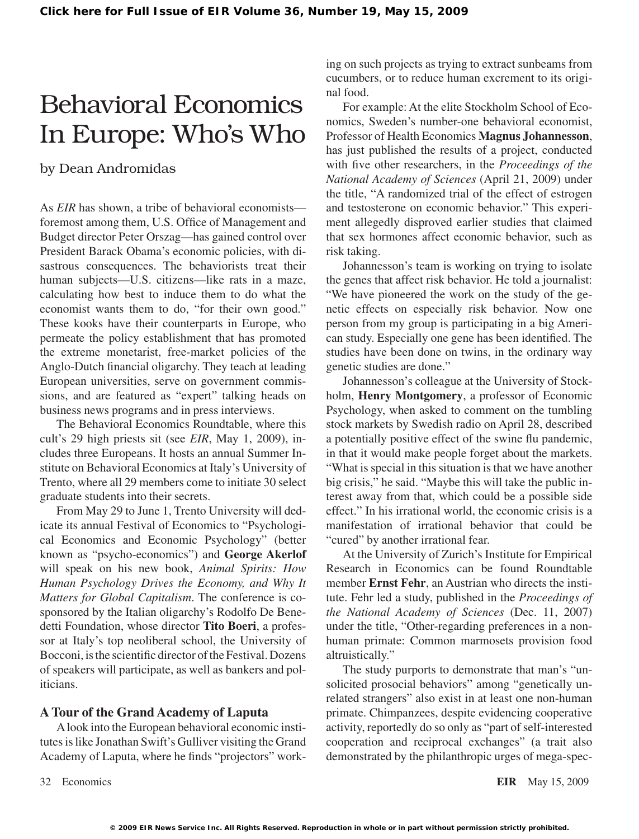## Behavioral Economics In Europe: Who's Who

### by Dean Andromidas

As *EIR* has shown, a tribe of behavioral economists foremost among them, U.S. Office of Management and Budget director Peter Orszag—has gained control over President Barack Obama's economic policies, with disastrous consequences. The behaviorists treat their human subjects—U.S. citizens—like rats in a maze, calculating how best to induce them to do what the economist wants them to do, "for their own good." These kooks have their counterparts in Europe, who permeate the policy establishment that has promoted the extreme monetarist, free-market policies of the Anglo-Dutch financial oligarchy. They teach at leading European universities, serve on government commissions, and are featured as "expert" talking heads on business news programs and in press interviews.

The Behavioral Economics Roundtable, where this cult's 29 high priests sit (see *EIR*, May 1, 2009), includes three Europeans. It hosts an annual Summer Institute on Behavioral Economics at Italy's University of Trento, where all 29 members come to initiate 30 select graduate students into their secrets.

From May 29 to June 1, Trento University will dedicate its annual Festival of Economics to "Psychological Economics and Economic Psychology" (better known as "psycho-economics") and **George Akerlof** will speak on his new book, *Animal Spirits: How Human Psychology Drives the Economy, and Why It Matters for Global Capitalism*. The conference is cosponsored by the Italian oligarchy's Rodolfo De Benedetti Foundation, whose director **Tito Boeri**, a professor at Italy's top neoliberal school, the University of Bocconi, is the scientific director of the Festival. Dozens of speakers will participate, as well as bankers and politicians.

#### **A Tour of the Grand Academy of Laputa**

Alook into the European behavioral economic institutes is like Jonathan Swift's Gulliver visiting the Grand Academy of Laputa, where he finds "projectors" working on such projects as trying to extract sunbeams from cucumbers, or to reduce human excrement to its original food.

For example: At the elite Stockholm School of Economics, Sweden's number-one behavioral economist, Professor of Health Economics **Magnus Johannesson**, has just published the results of a project, conducted with five other researchers, in the *Proceedings of the National Academy of Sciences* (April 21, 2009) under the title, "A randomized trial of the effect of estrogen and testosterone on economic behavior." This experiment allegedly disproved earlier studies that claimed that sex hormones affect economic behavior, such as risk taking.

Johannesson's team is working on trying to isolate the genes that affect risk behavior. He told a journalist: "We have pioneered the work on the study of the genetic effects on especially risk behavior. Now one person from my group is participating in a big American study. Especially one gene has been identified. The studies have been done on twins, in the ordinary way genetic studies are done."

Johannesson's colleague at the University of Stockholm, **Henry Montgomery**, a professor of Economic Psychology, when asked to comment on the tumbling stock markets by Swedish radio on April 28, described a potentially positive effect of the swine flu pandemic, in that it would make people forget about the markets. "What is special in this situation is that we have another big crisis," he said. "Maybe this will take the public interest away from that, which could be a possible side effect." In his irrational world, the economic crisis is a manifestation of irrational behavior that could be "cured" by another irrational fear.

At the University of Zurich's Institute for Empirical Research in Economics can be found Roundtable member **Ernst Fehr**, an Austrian who directs the institute. Fehr led a study, published in the *Proceedings of the National Academy of Sciences* (Dec. 11, 2007) under the title, "Other-regarding preferences in a nonhuman primate: Common marmosets provision food altruistically."

The study purports to demonstrate that man's "unsolicited prosocial behaviors" among "genetically unrelated strangers" also exist in at least one non-human primate. Chimpanzees, despite evidencing cooperative activity, reportedly do so only as "part of self-interested cooperation and reciprocal exchanges" (a trait also demonstrated by the philanthropic urges of mega-spec-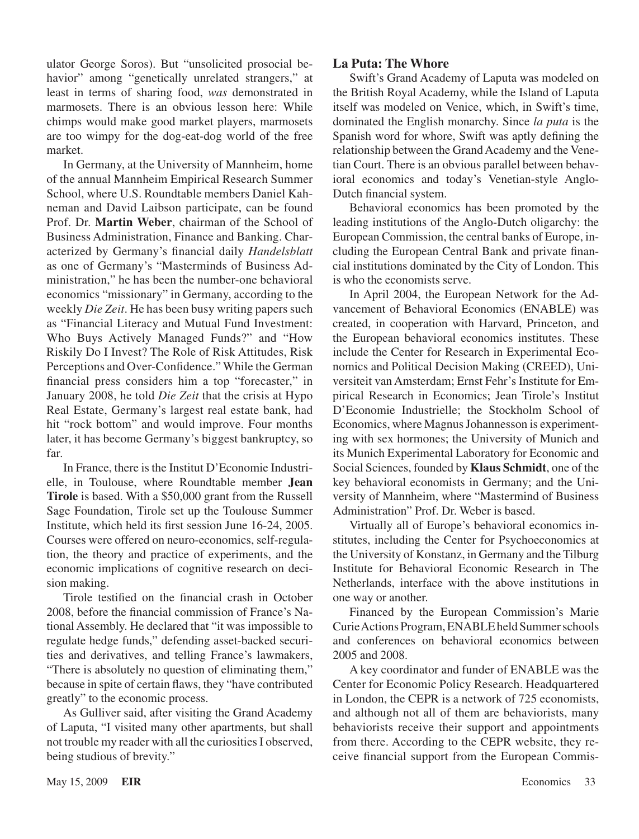ulator George Soros). But "unsolicited prosocial behavior" among "genetically unrelated strangers," at least in terms of sharing food, *was* demonstrated in marmosets. There is an obvious lesson here: While chimps would make good market players, marmosets are too wimpy for the dog-eat-dog world of the free market.

In Germany, at the University of Mannheim, home of the annual Mannheim Empirical Research Summer School, where U.S. Roundtable members Daniel Kahneman and David Laibson participate, can be found Prof. Dr. **Martin Weber**, chairman of the School of Business Administration, Finance and Banking. Characterized by Germany's financial daily *Handelsblatt* as one of Germany's "Masterminds of Business Administration," he has been the number-one behavioral economics "missionary" in Germany, according to the weekly *Die Zeit*. He has been busy writing papers such as "Financial Literacy and Mutual Fund Investment: Who Buys Actively Managed Funds?" and "How Riskily Do I Invest? The Role of Risk Attitudes, Risk Perceptions and Over-Confidence." While the German financial press considers him a top "forecaster," in January 2008, he told *Die Zeit* that the crisis at Hypo Real Estate, Germany's largest real estate bank, had hit "rock bottom" and would improve. Four months later, it has become Germany's biggest bankruptcy, so far.

In France, there is the Institut D'Economie Industrielle, in Toulouse, where Roundtable member **Jean Tirole** is based. With a \$50,000 grant from the Russell Sage Foundation, Tirole set up the Toulouse Summer Institute, which held its first session June 16-24, 2005. Courses were offered on neuro-economics, self-regulation, the theory and practice of experiments, and the economic implications of cognitive research on decision making.

Tirole testified on the financial crash in October 2008, before the financial commission of France's National Assembly. He declared that "it was impossible to regulate hedge funds," defending asset-backed securities and derivatives, and telling France's lawmakers, "There is absolutely no question of eliminating them," because in spite of certain flaws, they "have contributed greatly" to the economic process.

As Gulliver said, after visiting the Grand Academy of Laputa, "I visited many other apartments, but shall not trouble my reader with all the curiosities I observed, being studious of brevity."

#### **La Puta: The Whore**

Swift's Grand Academy of Laputa was modeled on the British Royal Academy, while the Island of Laputa itself was modeled on Venice, which, in Swift's time, dominated the English monarchy. Since *la puta* is the Spanish word for whore, Swift was aptly defining the relationship between the Grand Academy and the Venetian Court. There is an obvious parallel between behavioral economics and today's Venetian-style Anglo-Dutch financial system.

Behavioral economics has been promoted by the leading institutions of the Anglo-Dutch oligarchy: the European Commission, the central banks of Europe, including the European Central Bank and private financial institutions dominated by the City of London. This is who the economists serve.

In April 2004, the European Network for the Advancement of Behavioral Economics (ENABLE) was created, in cooperation with Harvard, Princeton, and the European behavioral economics institutes. These include the Center for Research in Experimental Economics and Political Decision Making (CREED), Universiteit van Amsterdam; Ernst Fehr's Institute for Empirical Research in Economics; Jean Tirole's Institut D'Economie Industrielle; the Stockholm School of Economics, where Magnus Johannesson is experimenting with sex hormones; the University of Munich and its Munich Experimental Laboratory for Economic and Social Sciences, founded by **Klaus Schmidt**, one of the key behavioral economists in Germany; and the University of Mannheim, where "Mastermind of Business Administration" Prof. Dr. Weber is based.

Virtually all of Europe's behavioral economics institutes, including the Center for Psychoeconomics at the University of Konstanz, in Germany and the Tilburg Institute for Behavioral Economic Research in The Netherlands, interface with the above institutions in one way or another.

Financed by the European Commission's Marie Curie Actions Program, ENABLE held Summer schools and conferences on behavioral economics between 2005 and 2008.

A key coordinator and funder of ENABLE was the Center for Economic Policy Research. Headquartered in London, the CEPR is a network of 725 economists, and although not all of them are behaviorists, many behaviorists receive their support and appointments from there. According to the CEPR website, they receive financial support from the European Commis